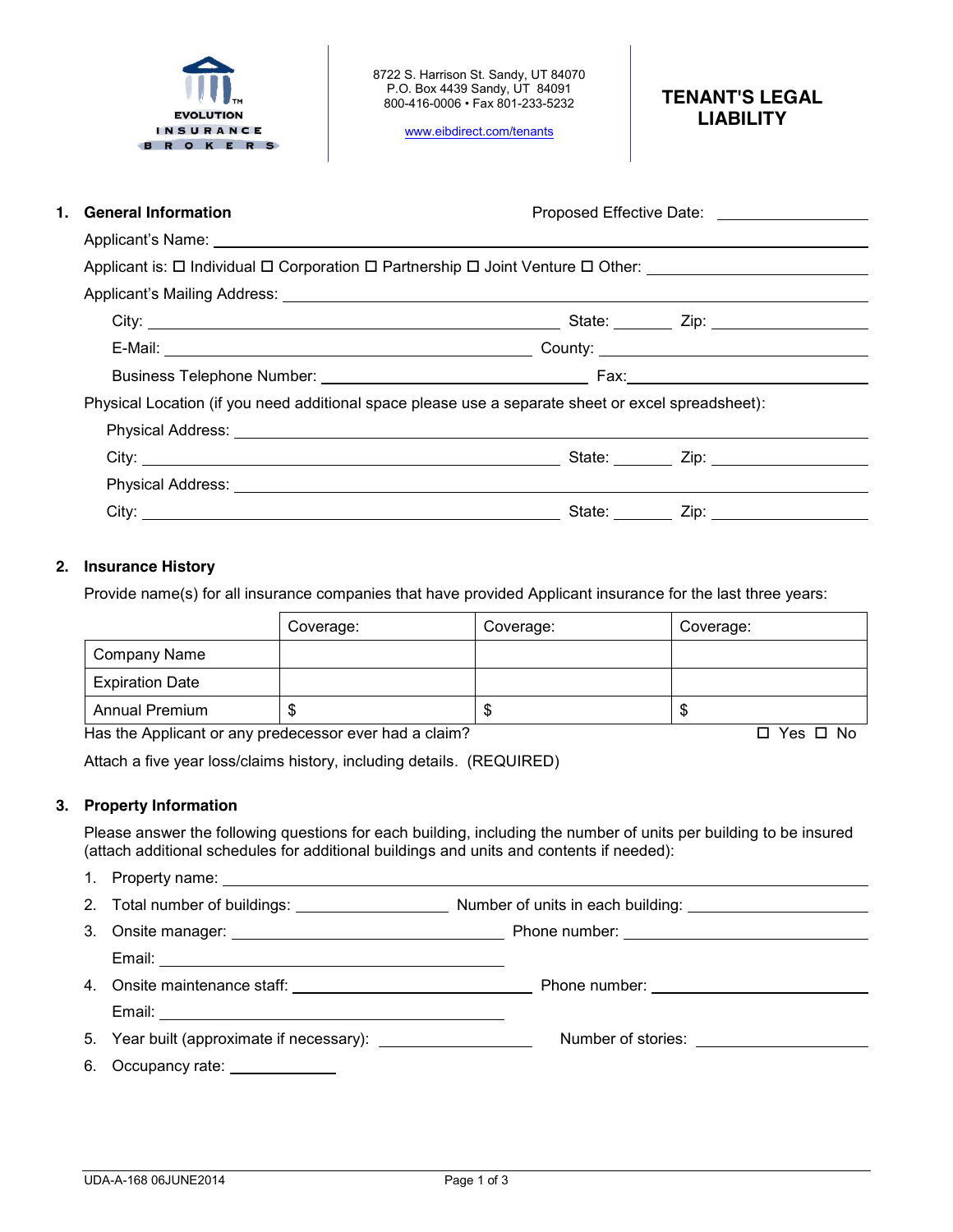

[www.eibdirect.com/tenants](http://www.eibdirect.com/tenants)

# **TENANT'S LEGAL LIABILITY**

## 1. **General Information 1. General Information Proposed Effective Date:**

|                                                                                                                | Applicant is: □ Individual □ Corporation □ Partnership □ Joint Venture □ Other: ___________________ |
|----------------------------------------------------------------------------------------------------------------|-----------------------------------------------------------------------------------------------------|
|                                                                                                                |                                                                                                     |
|                                                                                                                |                                                                                                     |
|                                                                                                                |                                                                                                     |
|                                                                                                                |                                                                                                     |
| Physical Location (if you need additional space please use a separate sheet or excel spreadsheet):             |                                                                                                     |
| Physical Address: Universe and Address and Address and Address and Address and Address and Address and Address |                                                                                                     |
|                                                                                                                |                                                                                                     |
|                                                                                                                |                                                                                                     |
|                                                                                                                | State: ______ Zip: _                                                                                |

### **2. Insurance History**

Provide name(s) for all insurance companies that have provided Applicant insurance for the last three years:

|                        | Coverage: | Coverage: | Coverage: |
|------------------------|-----------|-----------|-----------|
| Company Name           |           |           |           |
| <b>Expiration Date</b> |           |           |           |
| <b>Annual Premium</b>  | ۰D        | \$        | ۰D        |

Has the Applicant or any predecessor ever had a claim?  $\square$  Yes  $\square$  No

Attach a five year loss/claims history, including details. (REQUIRED)

**3. Property Information**

Please answer the following questions for each building, including the number of units per building to be insured (attach additional schedules for additional buildings and units and contents if needed):

1. Property name:

|  | Number of stories: <u>___________________</u> |  |
|--|-----------------------------------------------|--|
|  |                                               |  |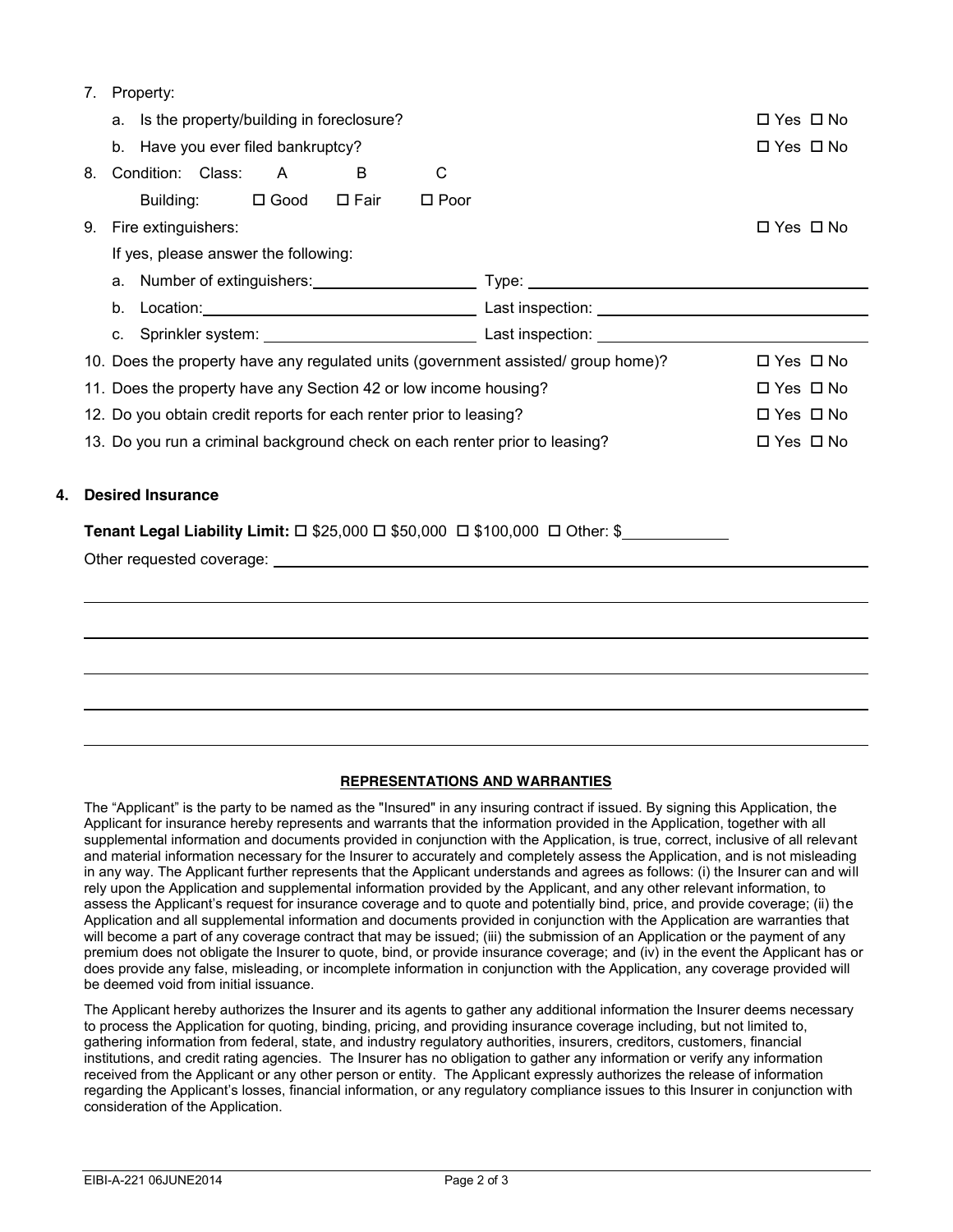|                                                                                   |                                      | 7. Property:                       |  |   |                                             |                      |  |                      |
|-----------------------------------------------------------------------------------|--------------------------------------|------------------------------------|--|---|---------------------------------------------|----------------------|--|----------------------|
|                                                                                   |                                      |                                    |  |   | a. Is the property/building in foreclosure? |                      |  | $\Box$ Yes $\Box$ No |
|                                                                                   |                                      | b. Have you ever filed bankruptcy? |  |   |                                             |                      |  | $\Box$ Yes $\Box$ No |
| 8.                                                                                |                                      | Condition: Class:                  |  | A | B                                           | C                    |  |                      |
|                                                                                   |                                      | Building: □ Good □ Fair            |  |   |                                             | $\square$ Poor       |  |                      |
| 9.                                                                                | Fire extinguishers:                  |                                    |  |   |                                             | $\Box$ Yes $\Box$ No |  |                      |
|                                                                                   | If yes, please answer the following: |                                    |  |   |                                             |                      |  |                      |
|                                                                                   |                                      |                                    |  |   |                                             |                      |  |                      |
|                                                                                   |                                      |                                    |  |   |                                             |                      |  |                      |
|                                                                                   |                                      |                                    |  |   |                                             |                      |  |                      |
| 10. Does the property have any regulated units (government assisted/ group home)? |                                      |                                    |  |   |                                             | $\Box$ Yes $\Box$ No |  |                      |
| 11. Does the property have any Section 42 or low income housing?                  |                                      |                                    |  |   | $\Box$ Yes $\Box$ No                        |                      |  |                      |
| 12. Do you obtain credit reports for each renter prior to leasing?                |                                      |                                    |  |   | $\Box$ Yes $\Box$ No                        |                      |  |                      |
| 13. Do you run a criminal background check on each renter prior to leasing?       |                                      |                                    |  |   | $\Box$ Yes $\Box$ No                        |                      |  |                      |

### **4. Desired Insurance**

7. Property:

### **Tenant Legal Liability Limit:**  $\Box$  \$25,000  $\Box$  \$50,000  $\Box$  \$100,000  $\Box$  Other: \$

Other requested coverage:

### **REPRESENTATIONS AND WARRANTIES**

The "Applicant" is the party to be named as the "Insured" in any insuring contract if issued. By signing this Application, the Applicant for insurance hereby represents and warrants that the information provided in the Application, together with all supplemental information and documents provided in conjunction with the Application, is true, correct, inclusive of all relevant and material information necessary for the Insurer to accurately and completely assess the Application, and is not misleading in any way. The Applicant further represents that the Applicant understands and agrees as follows: (i) the Insurer can and will rely upon the Application and supplemental information provided by the Applicant, and any other relevant information, to assess the Applicant's request for insurance coverage and to quote and potentially bind, price, and provide coverage; (ii) the Application and all supplemental information and documents provided in conjunction with the Application are warranties that will become a part of any coverage contract that may be issued; (iii) the submission of an Application or the payment of any premium does not obligate the Insurer to quote, bind, or provide insurance coverage; and (iv) in the event the Applicant has or does provide any false, misleading, or incomplete information in conjunction with the Application, any coverage provided will be deemed void from initial issuance.

The Applicant hereby authorizes the Insurer and its agents to gather any additional information the Insurer deems necessary to process the Application for quoting, binding, pricing, and providing insurance coverage including, but not limited to, gathering information from federal, state, and industry regulatory authorities, insurers, creditors, customers, financial institutions, and credit rating agencies. The Insurer has no obligation to gather any information or verify any information received from the Applicant or any other person or entity. The Applicant expressly authorizes the release of information regarding the Applicant's losses, financial information, or any regulatory compliance issues to this Insurer in conjunction with consideration of the Application.